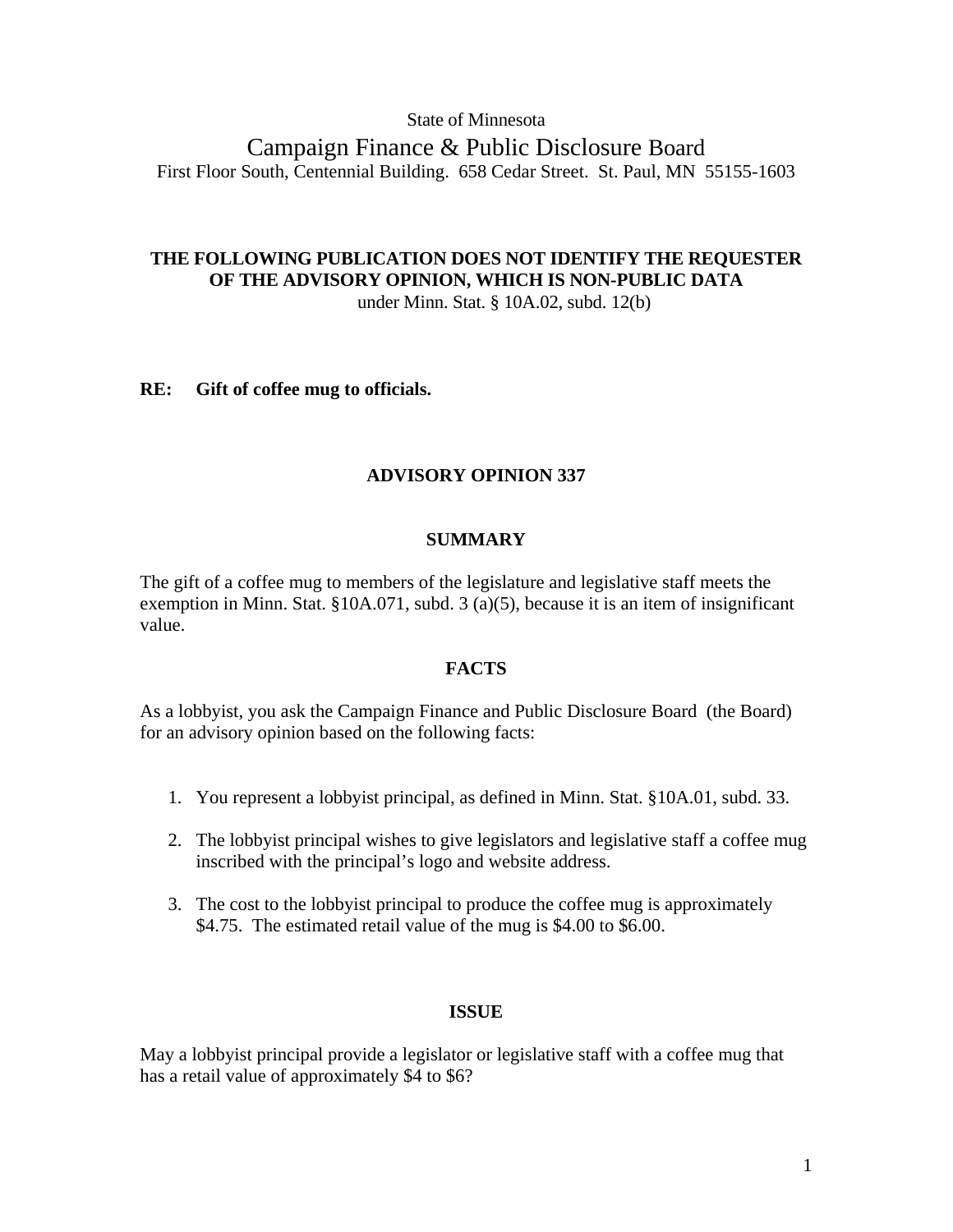## State of Minnesota

Campaign Finance & Public Disclosure Board First Floor South, Centennial Building. 658 Cedar Street. St. Paul, MN 55155-1603

## **THE FOLLOWING PUBLICATION DOES NOT IDENTIFY THE REQUESTER OF THE ADVISORY OPINION, WHICH IS NON-PUBLIC DATA**  under Minn. Stat. § 10A.02, subd. 12(b)

**RE: Gift of coffee mug to officials.** 

# **ADVISORY OPINION 337**

# **SUMMARY**

The gift of a coffee mug to members of the legislature and legislative staff meets the exemption in Minn. Stat. §10A.071, subd. 3 (a)(5), because it is an item of insignificant value.

## **FACTS**

As a lobbyist, you ask the Campaign Finance and Public Disclosure Board (the Board) for an advisory opinion based on the following facts:

- 1. You represent a lobbyist principal, as defined in Minn. Stat. §10A.01, subd. 33.
- 2. The lobbyist principal wishes to give legislators and legislative staff a coffee mug inscribed with the principal's logo and website address.
- 3. The cost to the lobbyist principal to produce the coffee mug is approximately \$4.75. The estimated retail value of the mug is \$4.00 to \$6.00.

## **ISSUE**

May a lobbyist principal provide a legislator or legislative staff with a coffee mug that has a retail value of approximately \$4 to \$6?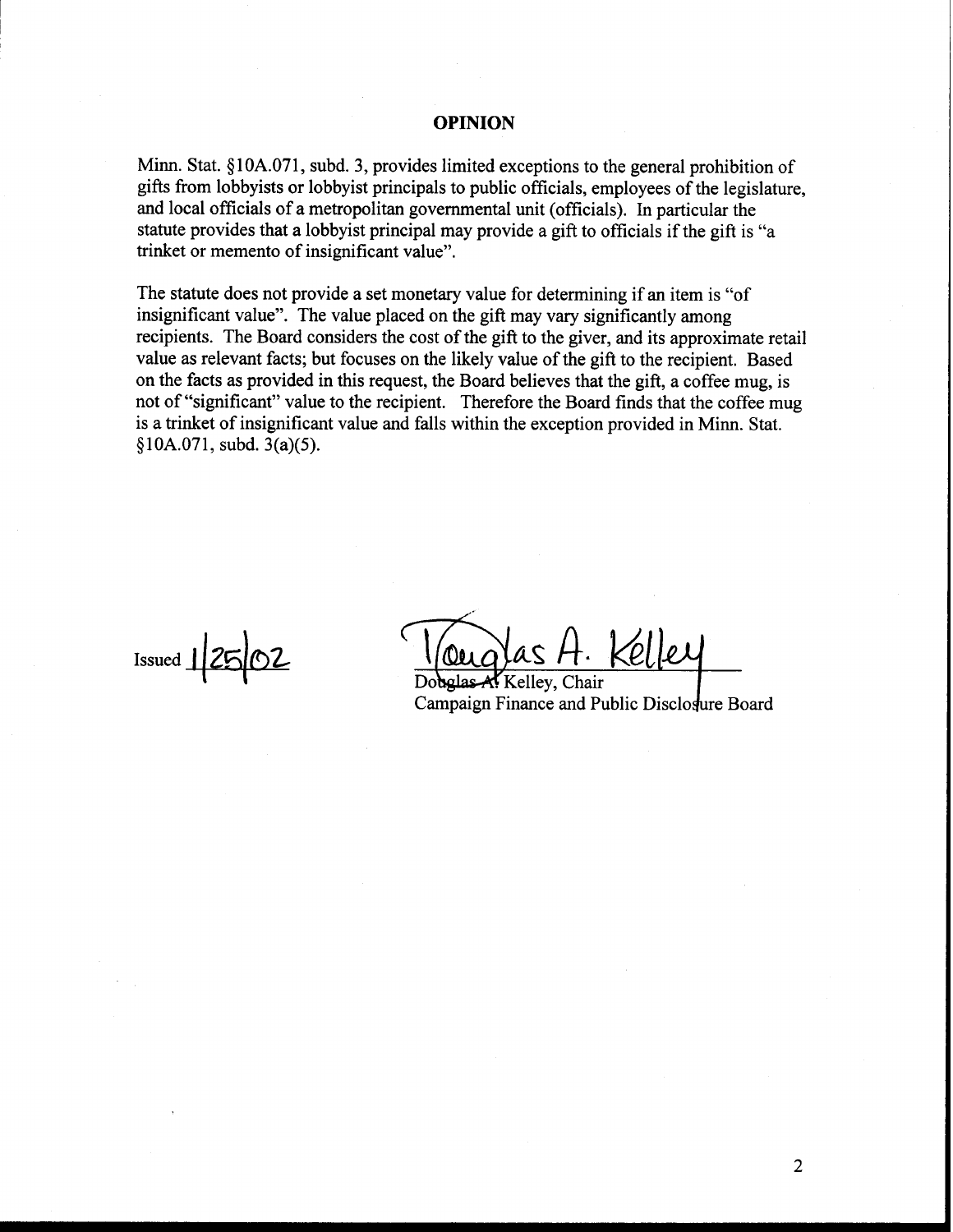#### **OPINION**

Minn. Stat. §10A.071, subd. 3, provides limited exceptions to the general prohibition of gifts from lobbyists or lobbyist principals to public officials, employees of the legislature, and local officials of a metropolitan governmental unit (officials). In particular the statute provides that a lobbyist principal may provide a gift to officials if the gift is "a trinket or memento of insignificant value".

The statute does not provide a set monetary value for determining if an item is "of insignificant value". The value placed on the gift may vary significantly among recipients. The Board considers the cost of the gift to the giver, and its approximate retail value as relevant facts; but focuses on the likely value of the gift to the recipient. Based on the facts as provided in this request, the Board believes that the gift, a coffee mug, is not of "significant" value to the recipient. Therefore the Board finds that the coffee mug is a trinket of insignificant value and falls within the exception provided in Minn. Stat.  $§10A.071$ , subd.  $3(a)(5)$ .

Issued  $12502$   $\frac{10uqlasA. Kelley}{DobglasA. Kelley, Chair}$ 

Campaign Finance and Public Disclosure Board